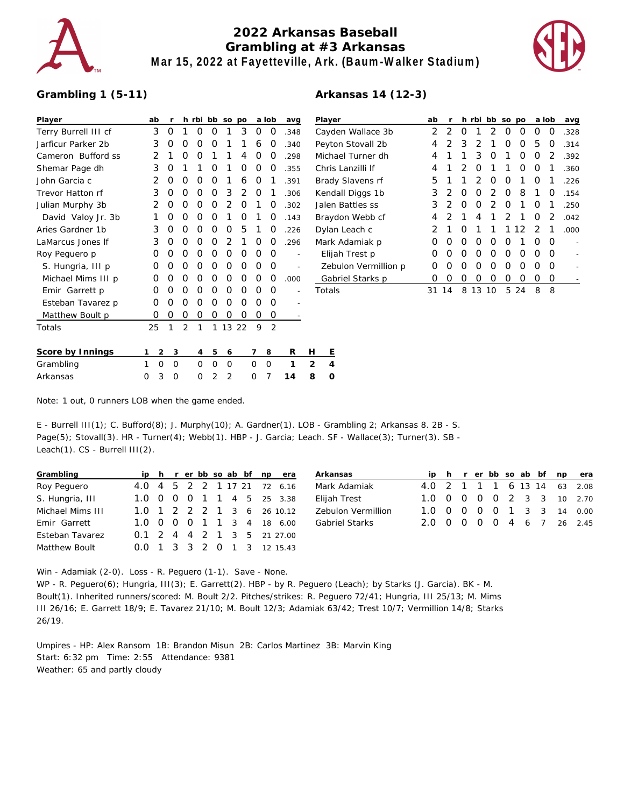

## **2022 Arkansas Baseball Grambling at #3 Arkansas Mar 15, 2022 at Fayetteville, Ark. (Baum-Walker Stadium)**



## **Grambling 1 (5-11)**

| Player               |   | ab | r        | h              | rbi | bb | SO             | po |          | a lob | avg  |   | Playe |
|----------------------|---|----|----------|----------------|-----|----|----------------|----|----------|-------|------|---|-------|
| Terry Burrell III cf |   | 3  | Ο        | 1              | Ο   | O  | 1              | 3  | O        | O     | .348 |   | Cayd  |
| Jarficur Parker 2b   |   | 3  | 0        | O              | Ο   | O  | 1              | 1  | 6        | O     | .340 |   | Peyto |
| Cameron Bufford ss   |   | 2  | 1        | O              | O   | 1  | 1              | 4  | O        | 0     | .298 |   | Mich  |
| Shemar Page dh       |   | 3  | Ο        | 1              | 1   | O  | 1              | O  | O        | Ω     | .355 |   | Chris |
| John Garcia c        |   | 2  | O        | O              | O   | O  | 1              | 6  | O        | 1     | .391 |   | Brad  |
| Trevor Hatton rf     |   | 3  | O        | O              | O   | O  | 3              | 2  | O        | 1     | .306 |   | Kend  |
| Julian Murphy 3b     |   | 2  | Ο        | O              | O   | O  | $\overline{2}$ | 0  | 1        | Ω     | .302 |   | Jaler |
| David Valoy Jr. 3b   |   | 1  | O        | 0              | O   | O  | 1              | O  | 1        | Ο     | .143 |   | Bray  |
| Aries Gardner 1b     |   | 3  | O        | O              | Ο   | Ο  | 0              | 5  | 1        | Ο     | .226 |   | Dylar |
| LaMarcus Jones If    |   | 3  | Ο        | 0              | O   | O  | $\overline{2}$ | 1  | O        | Ω     | .296 |   | Mark  |
| Roy Peguero p        |   | Ο  | Ο        | O              | Ω   | O  | Ο              | Ο  | O        | Ω     |      |   | Elija |
| S. Hungria, III p    |   | Ο  | O        | O              | O   | O  | O              | 0  | O        | Ω     |      |   | Zeb   |
| Michael Mims III p   |   | O  | O        | O              | O   | 0  | 0              | 0  | O        | Ω     | .000 |   | Gat   |
| Emir Garrett p       |   | 0  | Ο        | 0              | O   | O  | 0              | O  | O        | Ω     |      |   | Total |
| Esteban Tavarez p    |   | O  | O        | O              | O   | O  | 0              | O  | O        | Ω     |      |   |       |
| Matthew Boult p      |   | 0  | 0        | O              | O   | 0  | 0              | O  | 0        | O     |      |   |       |
| Totals               |   | 25 | 1        | $\overline{2}$ | 1   | 1  | 13             | 22 | 9        | 2     |      |   |       |
| Score by Innings     | 1 | 2  | 3        |                | 4   | 5  | 6              |    | 7        | 8     | R    | н | Ε     |
| Grambling            | 1 | O  | $\Omega$ |                | Ω   | 0  | O              |    | $\Omega$ | 0     | 1    | 2 | 4     |
| Arkansas             | O | 3  | O        |                | O   | 2  | 2              |    | O        | 7     | 14   | 8 | O     |

| Arkansas 14 (12-3) |  |  |
|--------------------|--|--|
|--------------------|--|--|

| Player               | ab               | r                |                  | h rbi            | bb | <b>SO</b> | po   |   | a lob | avg  |
|----------------------|------------------|------------------|------------------|------------------|----|-----------|------|---|-------|------|
| Cayden Wallace 3b    | 2                | 2                | $\left( \right)$ |                  | 2  | Ω         | Ο    | Ω | O     | .328 |
| Peyton Stovall 2b    | 4                | 2                | 3                | 2                | 1  | Ο         | Ο    | 5 | O     | .314 |
| Michael Turner dh    | 4                | 1                | 1                | 3                | Ω  | 1         | Ο    | Ο | 2     | .392 |
| Chris Lanzilli If    | 4                | 1                | 2                | Ω                | 1  | 1         | Ο    | Ο | 1     | .360 |
| Brady Slavens rf     | 5                | 1                | 1                | 2                | Ω  | O         | 1    | O | 1     | .226 |
| Kendall Diggs 1b     | 3                | 2                | O                | $\left( \right)$ | 2  | 0         | 8    | 1 | 0     | .154 |
| Jalen Battles ss     | 3                | 2                | Ω                | $\left( \right)$ | 2  | 0         | 1    | O | 1     | .250 |
| Braydon Webb cf      | 4                | 2                | 1                | 4                | 1  | 2         | 1    | O | 2     | .042 |
| Dylan Leach c        | 2                | 1                | O                | 1                | 1  | 1         | 12   | 2 | 1     | .000 |
| Mark Adamiak p       | $\left( \right)$ | Ω                | Ω                | $\left( \right)$ | Ω  | Ω         | 1    | Ω | O     |      |
| Elijah Trest p       | $\left( \right)$ | $\left( \right)$ | $\left( \right)$ | $\left( \right)$ | Ω  | O         | O    | O | O     |      |
| Zebulon Vermillion p | $\left( \right)$ | 0                | Ω                | 0                | Ω  | Ω         | O    | Ω | O     |      |
| Gabriel Starks p     | $\left( \right)$ | Ω                | $\left( \right)$ | 0                | Ω  | Ω         | Ω    | Ω | 0     |      |
| Totals               | 31               | 14               | 8                | 13               | 10 |           | 5 24 | 8 | 8     |      |

Note: 1 out, 0 runners LOB when the game ended.

E - Burrell III(1); C. Bufford(8); J. Murphy(10); A. Gardner(1). LOB - Grambling 2; Arkansas 8. 2B - S. Page(5); Stovall(3). HR - Turner(4); Webb(1). HBP - J. Garcia; Leach. SF - Wallace(3); Turner(3). SB -Leach(1). CS - Burrell III(2).

|     |  |  |           |  | Arkansas                                                                                                                                                                                          |
|-----|--|--|-----------|--|---------------------------------------------------------------------------------------------------------------------------------------------------------------------------------------------------|
|     |  |  |           |  | Mark Adamiak                                                                                                                                                                                      |
|     |  |  |           |  | Elijah Trest                                                                                                                                                                                      |
|     |  |  |           |  | Zebulon Vermillion                                                                                                                                                                                |
|     |  |  |           |  | <b>Gabriel Starks</b>                                                                                                                                                                             |
|     |  |  |           |  |                                                                                                                                                                                                   |
| (1) |  |  |           |  |                                                                                                                                                                                                   |
|     |  |  | 1 3 3 2 0 |  | ip h r er bb so ab bf np era<br>4.0 4 5 2 2 1 17 21 72 6.16<br>1.0 0 0 0 1 1 4 5 25 3.38<br>1.0 1 2 2 2 1 3 6 26 10.12<br>1.0 0 0 0 1 1 3 4 18 6.00<br>0.1 2 4 4 2 1 3 5 21 27.00<br>1 3 12 15.43 |

| Arkansas              |  |  |  |  | ip h r er bb so ab bf np | era                         |
|-----------------------|--|--|--|--|--------------------------|-----------------------------|
| Mark Adamiak          |  |  |  |  |                          | 4.0 2 1 1 1 6 13 14 63 2.08 |
| Elijah Trest          |  |  |  |  |                          | 1.0 0 0 0 0 2 3 3 10 2.70   |
| Zebulon Vermillion    |  |  |  |  |                          | 1.0 0 0 0 0 1 3 3 14 0.00   |
| <b>Gabriel Starks</b> |  |  |  |  |                          | 200000046726245             |
|                       |  |  |  |  |                          |                             |

Win - Adamiak (2-0). Loss - R. Peguero (1-1). Save - None.

WP - R. Peguero(6); Hungria, III(3); E. Garrett(2). HBP - by R. Peguero (Leach); by Starks (J. Garcia). BK - M. Boult(1). Inherited runners/scored: M. Boult 2/2. Pitches/strikes: R. Peguero 72/41; Hungria, III 25/13; M. Mims III 26/16; E. Garrett 18/9; E. Tavarez 21/10; M. Boult 12/3; Adamiak 63/42; Trest 10/7; Vermillion 14/8; Starks 26/19.

Umpires - HP: Alex Ransom 1B: Brandon Misun 2B: Carlos Martinez 3B: Marvin King Start: 6:32 pm Time: 2:55 Attendance: 9381 Weather: 65 and partly cloudy